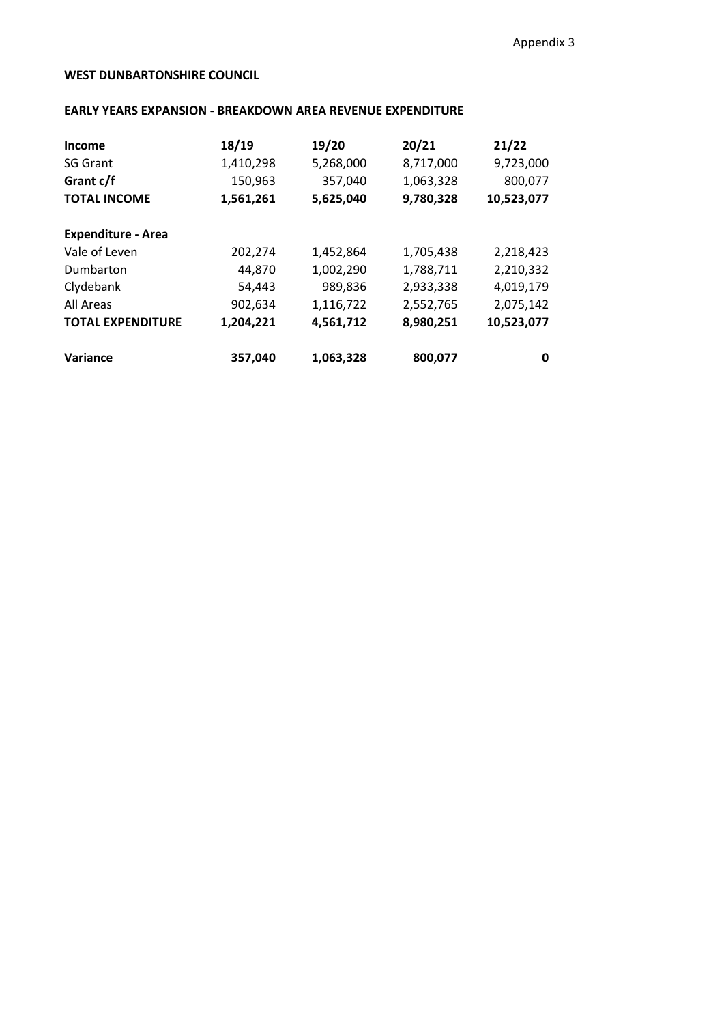## **WEST DUNBARTONSHIRE COUNCIL**

## **EARLY YEARS EXPANSION - BREAKDOWN AREA REVENUE EXPENDITURE**

| Income                    | 18/19     | 19/20     | 20/21     | 21/22      |
|---------------------------|-----------|-----------|-----------|------------|
| <b>SG Grant</b>           | 1,410,298 | 5,268,000 | 8,717,000 | 9,723,000  |
| Grant c/f                 | 150,963   | 357,040   | 1,063,328 | 800,077    |
| <b>TOTAL INCOME</b>       | 1,561,261 | 5,625,040 | 9,780,328 | 10,523,077 |
| <b>Expenditure - Area</b> |           |           |           |            |
| Vale of Leven             | 202,274   | 1,452,864 | 1,705,438 | 2,218,423  |
| Dumbarton                 | 44,870    | 1,002,290 | 1,788,711 | 2,210,332  |
| Clydebank                 | 54,443    | 989,836   | 2,933,338 | 4,019,179  |
| All Areas                 | 902,634   | 1,116,722 | 2,552,765 | 2,075,142  |
| <b>TOTAL EXPENDITURE</b>  | 1,204,221 | 4,561,712 | 8,980,251 | 10,523,077 |
| Variance                  | 357,040   | 1,063,328 | 800,077   | 0          |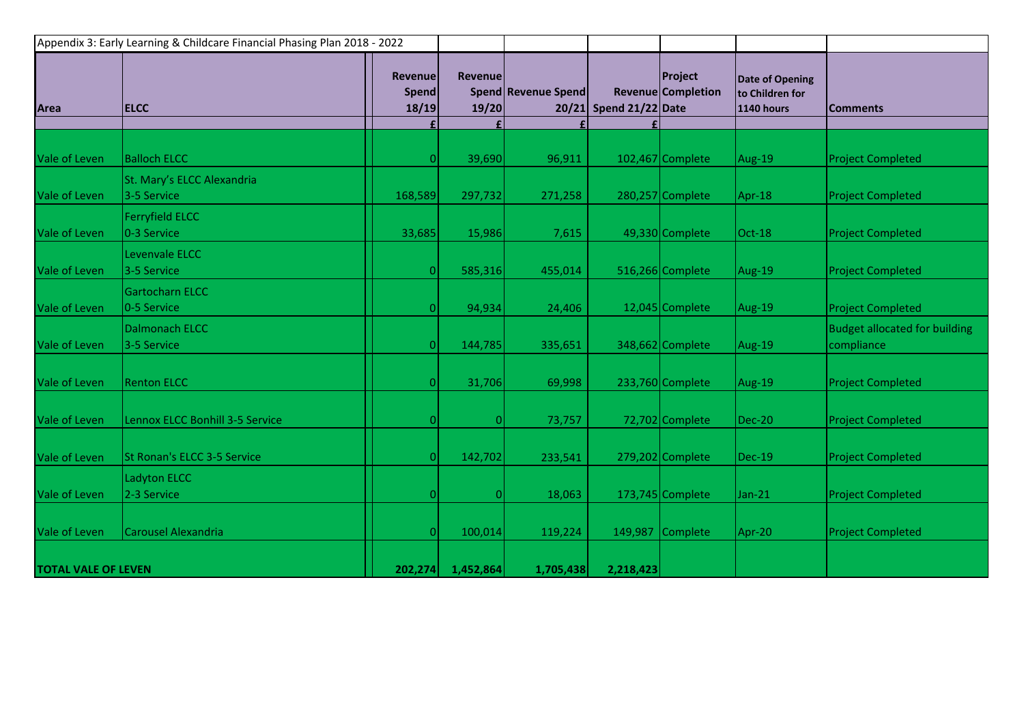| Appendix 3: Early Learning & Childcare Financial Phasing Plan 2018 - 2022 |                                           |                                  |                         |                     |                        |                               |                                                         |                                                    |
|---------------------------------------------------------------------------|-------------------------------------------|----------------------------------|-------------------------|---------------------|------------------------|-------------------------------|---------------------------------------------------------|----------------------------------------------------|
| Area                                                                      | <b>ELCC</b>                               | <b>Revenue</b><br>Spend<br>18/19 | <b>Revenue</b><br>19/20 | Spend Revenue Spend | 20/21 Spend 21/22 Date | Project<br>Revenue Completion | <b>Date of Opening</b><br>to Children for<br>1140 hours | <b>Comments</b>                                    |
|                                                                           |                                           |                                  |                         |                     |                        |                               |                                                         |                                                    |
| Vale of Leven                                                             | <b>Balloch ELCC</b>                       |                                  | 39,690                  | 96,911              |                        | 102,467 Complete              | Aug-19                                                  | <b>Project Completed</b>                           |
| Vale of Leven                                                             | St. Mary's ELCC Alexandria<br>3-5 Service | 168,589                          | 297,732                 | 271,258             |                        | 280,257 Complete              | Apr-18                                                  | <b>Project Completed</b>                           |
| Vale of Leven                                                             | <b>Ferryfield ELCC</b><br>0-3 Service     | 33,685                           | 15,986                  | 7,615               |                        | 49,330 Complete               | Oct-18                                                  | <b>Project Completed</b>                           |
| Vale of Leven                                                             | Levenvale ELCC<br>3-5 Service             | $\overline{0}$                   | 585,316                 | 455,014             |                        | 516,266 Complete              | Aug-19                                                  | <b>Project Completed</b>                           |
| Vale of Leven                                                             | Gartocharn ELCC<br>0-5 Service            | $\Omega$                         | 94,934                  | 24,406              |                        | 12,045 Complete               | Aug-19                                                  | <b>Project Completed</b>                           |
| Vale of Leven                                                             | Dalmonach ELCC<br>3-5 Service             | $\Omega$                         | 144,785                 | 335,651             |                        | 348,662 Complete              | Aug-19                                                  | <b>Budget allocated for building</b><br>compliance |
| Vale of Leven                                                             | <b>Renton ELCC</b>                        | $\Omega$                         | 31,706                  | 69,998              |                        | 233,760 Complete              | Aug-19                                                  | <b>Project Completed</b>                           |
| Vale of Leven                                                             | Lennox ELCC Bonhill 3-5 Service           | $\Omega$                         | $\vert 0 \vert$         | 73,757              |                        | 72,702 Complete               | <b>Dec-20</b>                                           | <b>Project Completed</b>                           |
| Vale of Leven                                                             | St Ronan's ELCC 3-5 Service               | $\Omega$                         | 142,702                 | 233,541             |                        | 279,202 Complete              | $Dec-19$                                                | <b>Project Completed</b>                           |
| Vale of Leven                                                             | Ladyton ELCC<br>2-3 Service               | ΩI                               | $\vert 0 \vert$         | 18,063              |                        | 173,745 Complete              | Jan-21                                                  | <b>Project Completed</b>                           |
| Vale of Leven                                                             | Carousel Alexandria                       | $\overline{0}$                   | 100,014                 | 119,224             |                        | 149,987 Complete              | Apr-20                                                  | <b>Project Completed</b>                           |
| <b>TOTAL VALE OF LEVEN</b>                                                |                                           | 202,274                          | 1,452,864               | 1,705,438           | 2,218,423              |                               |                                                         |                                                    |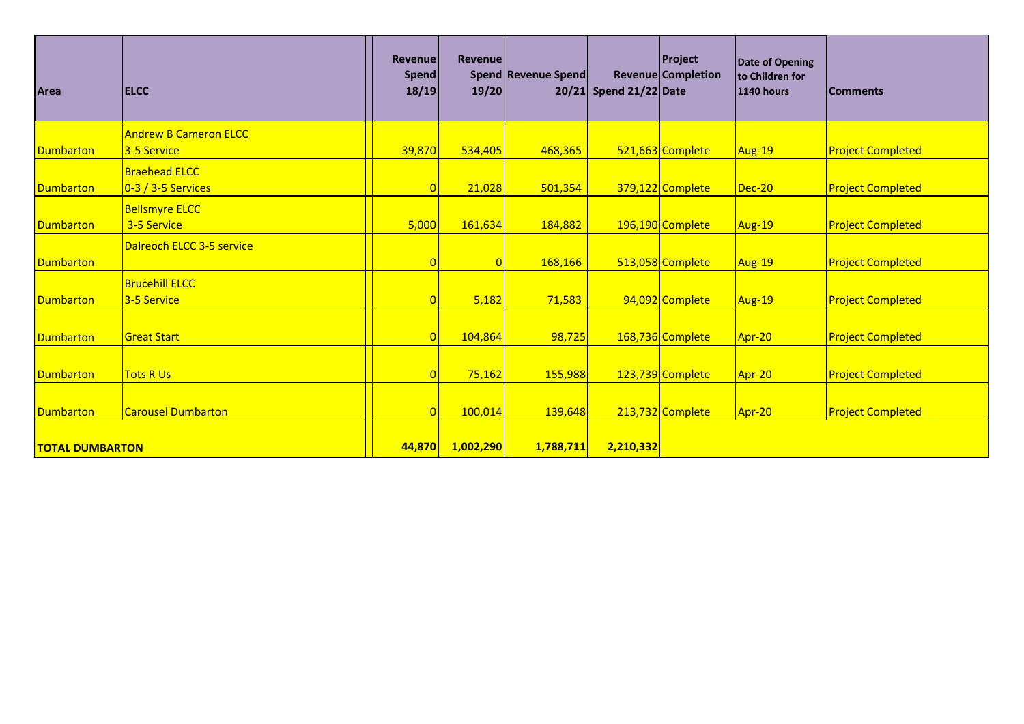| <b>Area</b>            | <b>IELCC</b>                 | <b>Revenue</b><br><b>Spend</b><br>18/19 | Revenuel<br>19/20 | Spend Revenue Spend | 20/21 Spend 21/22 Date | <b>Project</b><br>Revenue Completion | Date of Opening<br>to Children for<br><b>1140 hours</b> | <b>Comments</b>          |
|------------------------|------------------------------|-----------------------------------------|-------------------|---------------------|------------------------|--------------------------------------|---------------------------------------------------------|--------------------------|
|                        | <b>Andrew B Cameron ELCC</b> |                                         |                   |                     |                        |                                      |                                                         |                          |
| <b>Dumbarton</b>       | 3-5 Service                  | 39,870                                  | 534,405           | 468,365             |                        | 521,663 Complete                     | Aug-19                                                  | <b>Project Completed</b> |
|                        | <b>Braehead ELCC</b>         |                                         |                   |                     |                        |                                      |                                                         |                          |
| <b>Dumbarton</b>       | $0-3/3-5$ Services           |                                         | 21,028            | 501,354             |                        | 379,122 Complete                     | $Dec-20$                                                | <b>Project Completed</b> |
|                        | <b>Bellsmyre ELCC</b>        |                                         |                   |                     |                        |                                      |                                                         |                          |
| <b>Dumbarton</b>       | 3-5 Service                  | 5,000                                   | 161,634           | 184,882             |                        | 196,190 Complete                     | Aug-19                                                  | <b>Project Completed</b> |
|                        | Dalreoch ELCC 3-5 service    |                                         |                   |                     |                        |                                      |                                                         |                          |
| <b>Dumbarton</b>       |                              |                                         |                   | 168,166             |                        | 513,058 Complete                     | Aug-19                                                  | <b>Project Completed</b> |
|                        | <b>Brucehill ELCC</b>        |                                         |                   |                     |                        |                                      |                                                         |                          |
| Dumbarton              | 3-5 Service                  |                                         | 5,182             | 71,583              |                        | 94,092 Complete                      | Aug-19                                                  | <b>Project Completed</b> |
|                        |                              |                                         |                   |                     |                        |                                      |                                                         |                          |
| <b>Dumbarton</b>       | <b>Great Start</b>           |                                         | 104,864           | 98,725              |                        | 168,736 Complete                     | Apr-20                                                  | <b>Project Completed</b> |
|                        |                              |                                         |                   |                     |                        |                                      |                                                         |                          |
| <b>Dumbarton</b>       | <b>Tots R Us</b>             | 0                                       | 75,162            | 155,988             |                        | 123,739 Complete                     | Apr-20                                                  | <b>Project Completed</b> |
|                        |                              |                                         |                   |                     |                        |                                      |                                                         |                          |
| <b>Dumbarton</b>       | <b>Carousel Dumbarton</b>    | $\overline{0}$                          | 100,014           | 139,648             |                        | 213,732 Complete                     | Apr-20                                                  | <b>Project Completed</b> |
|                        |                              |                                         |                   |                     |                        |                                      |                                                         |                          |
| <b>TOTAL DUMBARTON</b> |                              | 44,870                                  | 1,002,290         | 1,788,711           | 2,210,332              |                                      |                                                         |                          |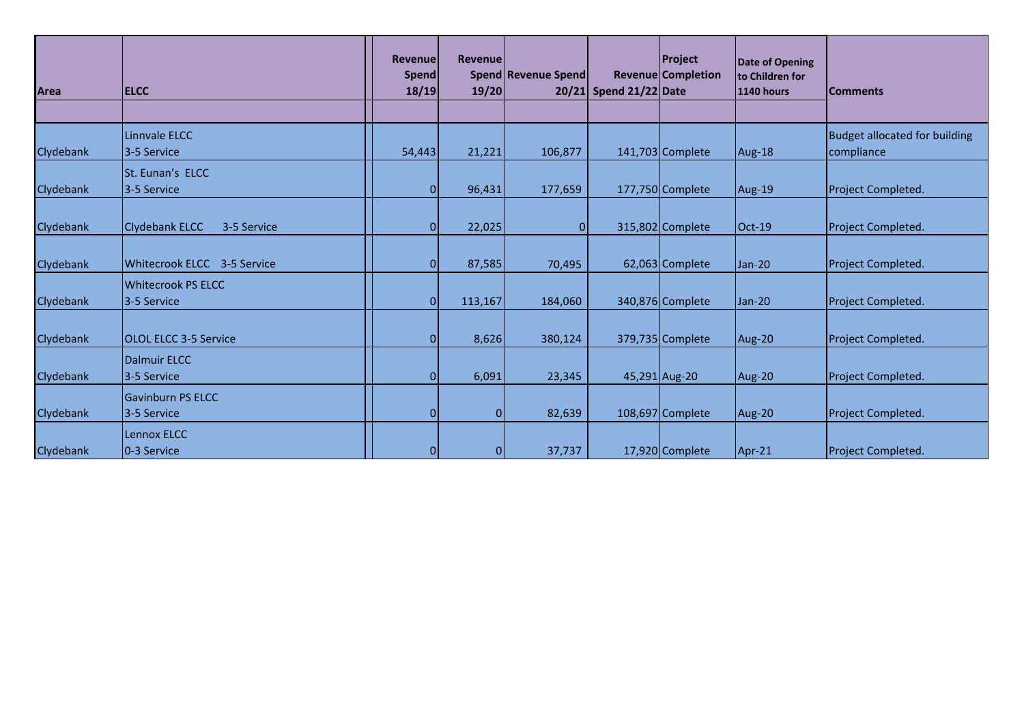| Area             | <b>ELCC</b>                             | <b>Revenue</b><br>Spend<br>18/19 | Revenue<br>19/20 | Spend Revenue Spend | 20/21 Spend 21/22 Date | <b>Project</b><br><b>Revenue</b> Completion | <b>Date of Opening</b><br>to Children for<br>1140 hours | <b>Comments</b>                                    |
|------------------|-----------------------------------------|----------------------------------|------------------|---------------------|------------------------|---------------------------------------------|---------------------------------------------------------|----------------------------------------------------|
| Clydebank        | Linnvale ELCC<br>13-5 Service           | 54,443                           | 21,221           | 106,877             |                        | 141,703 Complete                            | Aug-18                                                  | <b>Budget allocated for building</b><br>compliance |
| Clydebank        | <b>St. Eunan's ELCC</b><br>13-5 Service | $\Omega$                         | 96,431           | 177,659             |                        | 177,750 Complete                            | Aug-19                                                  | Project Completed.                                 |
| <b>Clydebank</b> | <b>Clydebank ELCC</b><br>3-5 Service    | $\Omega$                         | 22,025           | $\Omega$            |                        | 315,802 Complete                            | Oct-19                                                  | Project Completed.                                 |
| Clydebank        | Whitecrook ELCC 3-5 Service             | $\Omega$                         | 87,585           | 70,495              |                        | 62,063 Complete                             | Jan-20                                                  | Project Completed.                                 |
| Clydebank        | Whitecrook PS ELCC<br>13-5 Service      | $\Omega$                         | 113,167          | 184,060             |                        | 340,876 Complete                            | Jan-20                                                  | Project Completed.                                 |
| Clydebank        | <b>OLOL ELCC 3-5 Service</b>            | O                                | 8,626            | 380,124             |                        | 379,735 Complete                            | Aug-20                                                  | Project Completed.                                 |
| Clydebank        | Dalmuir ELCC<br>3-5 Service             | $\Omega$                         | 6,091            | 23,345              |                        | 45,291 Aug-20                               | Aug-20                                                  | Project Completed.                                 |
| Clydebank        | <b>Gavinburn PS ELCC</b><br>3-5 Service | $\overline{0}$                   | 0                | 82,639              |                        | 108,697 Complete                            | Aug-20                                                  | Project Completed.                                 |
| Clydebank        | Lennox ELCC<br>0-3 Service              | $\overline{0}$                   | $\overline{0}$   | 37,737              |                        | 17,920 Complete                             | Apr-21                                                  | Project Completed.                                 |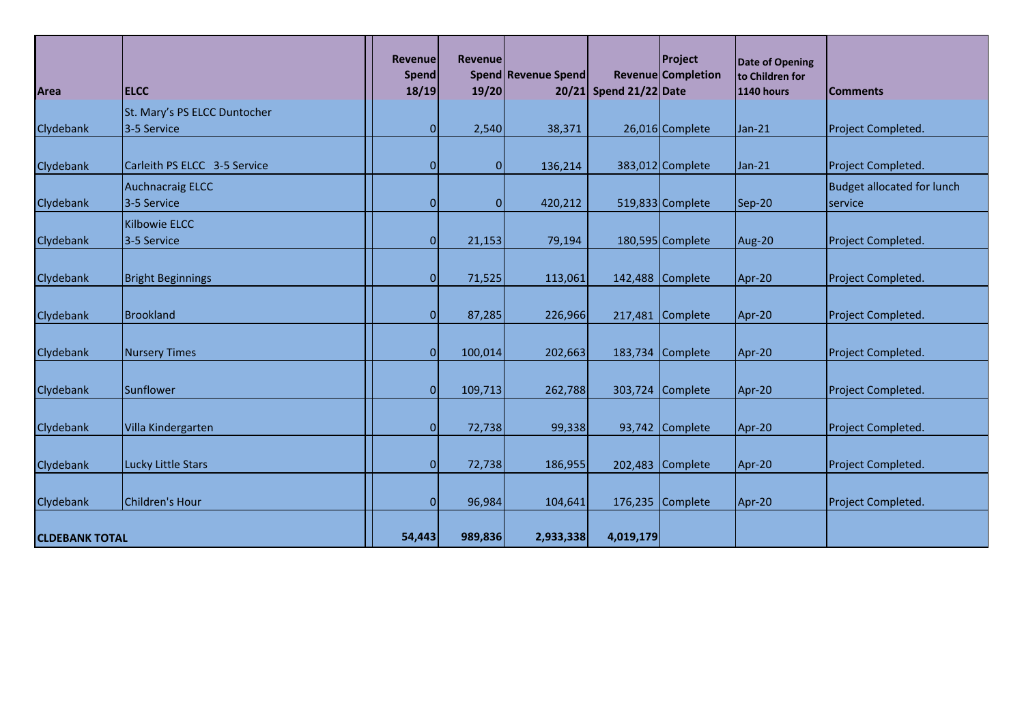| <b>Area</b>           | <b>ELCC</b>                                 | <b>Revenue</b><br><b>Spend</b><br>18/19 | <b>Revenuel</b><br>19/20 | Spend Revenue Spend | 20/21 Spend 21/22 Date | Project<br>Revenue Completion | <b>Date of Opening</b><br>to Children for<br><b>1140 hours</b> |                                              |
|-----------------------|---------------------------------------------|-----------------------------------------|--------------------------|---------------------|------------------------|-------------------------------|----------------------------------------------------------------|----------------------------------------------|
|                       |                                             |                                         |                          |                     |                        |                               |                                                                | <b>Comments</b>                              |
| Clydebank             | St. Mary's PS ELCC Duntocher<br>3-5 Service | $\mathbf{0}$                            | 2,540                    | 38,371              |                        | 26,016 Complete               | Jan-21                                                         | Project Completed.                           |
| Clydebank             | Carleith PS ELCC 3-5 Service                | $\mathbf{0}$                            | 0                        | 136,214             |                        | 383,012 Complete              | Jan-21                                                         | Project Completed.                           |
| Clydebank             | <b>Auchnacraig ELCC</b><br>3-5 Service      | $\Omega$                                | $\overline{0}$           | 420,212             |                        | 519,833 Complete              | Sep-20                                                         | <b>Budget allocated for lunch</b><br>service |
| <b>Clydebank</b>      | <b>Kilbowie ELCC</b><br>3-5 Service         | $\Omega$                                | 21,153                   | 79,194              |                        | 180,595 Complete              | Aug-20                                                         | Project Completed.                           |
|                       |                                             |                                         |                          |                     |                        |                               |                                                                |                                              |
| Clydebank             | <b>Bright Beginnings</b>                    | $\overline{0}$                          | 71,525                   | 113,061             |                        | 142,488 Complete              | Apr-20                                                         | Project Completed.                           |
| Clydebank             | <b>Brookland</b>                            | $\mathbf{0}$                            | 87,285                   | 226,966             |                        | 217,481 Complete              | Apr-20                                                         | Project Completed.                           |
| Clydebank             | Nursery Times                               | $\overline{0}$                          | 100,014                  | 202,663             |                        | 183,734 Complete              | Apr-20                                                         | Project Completed.                           |
| Clydebank             | Sunflower                                   | $\overline{0}$                          | 109,713                  | 262,788             |                        | 303,724 Complete              | Apr-20                                                         | Project Completed.                           |
| Clydebank             | Villa Kindergarten                          | $\overline{0}$                          | 72,738                   | 99,338              |                        | 93,742 Complete               | Apr-20                                                         | Project Completed.                           |
| Clydebank             | Lucky Little Stars                          | $\Omega$                                | 72,738                   | 186,955             |                        | 202,483 Complete              | Apr-20                                                         | Project Completed.                           |
|                       |                                             |                                         |                          |                     |                        |                               |                                                                |                                              |
| <b>Clydebank</b>      | Children's Hour                             | $\Omega$                                | 96,984                   | 104,641             |                        | 176,235 Complete              | Apr-20                                                         | Project Completed.                           |
| <b>CLDEBANK TOTAL</b> |                                             | 54,443                                  | 989,836                  | 2,933,338           | 4,019,179              |                               |                                                                |                                              |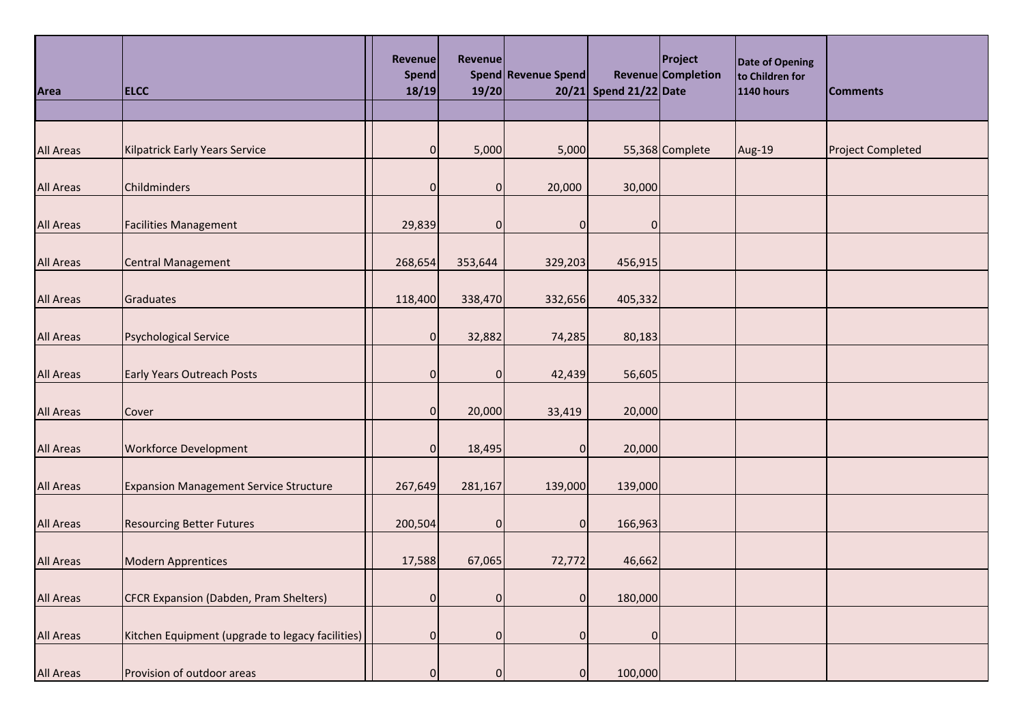| Area             | <b>ELCC</b>                                      | <b>Revenue</b><br>Spend<br>18/19 | <b>Revenue</b><br>19/20 | Spend Revenue Spend | 20/21 Spend 21/22 Date | Project<br>Revenue Completion | Date of Opening<br>to Children for<br><b>1140 hours</b> | <b>Comments</b>          |
|------------------|--------------------------------------------------|----------------------------------|-------------------------|---------------------|------------------------|-------------------------------|---------------------------------------------------------|--------------------------|
|                  |                                                  |                                  |                         |                     |                        |                               |                                                         |                          |
| <b>All Areas</b> | <b>Kilpatrick Early Years Service</b>            | $\overline{0}$                   | 5,000                   | 5,000               |                        | 55,368 Complete               | Aug-19                                                  | <b>Project Completed</b> |
| <b>All Areas</b> | Childminders                                     | $\overline{0}$                   | $\overline{0}$          | 20,000              | 30,000                 |                               |                                                         |                          |
| <b>All Areas</b> | <b>Facilities Management</b>                     | 29,839                           | $\overline{0}$          | 0                   | 0                      |                               |                                                         |                          |
| <b>All Areas</b> | <b>Central Management</b>                        | 268,654                          | 353,644                 | 329,203             | 456,915                |                               |                                                         |                          |
| <b>All Areas</b> | Graduates                                        | 118,400                          | 338,470                 | 332,656             | 405,332                |                               |                                                         |                          |
| <b>All Areas</b> | <b>Psychological Service</b>                     | $\overline{0}$                   | 32,882                  | 74,285              | 80,183                 |                               |                                                         |                          |
| <b>All Areas</b> | <b>Early Years Outreach Posts</b>                | $\overline{0}$                   | $\overline{0}$          | 42,439              | 56,605                 |                               |                                                         |                          |
| <b>All Areas</b> | Cover                                            | $\overline{0}$                   | 20,000                  | 33,419              | 20,000                 |                               |                                                         |                          |
| <b>All Areas</b> | <b>Workforce Development</b>                     | $\overline{0}$                   | 18,495                  | $\overline{0}$      | 20,000                 |                               |                                                         |                          |
| <b>All Areas</b> | <b>Expansion Management Service Structure</b>    | 267,649                          | 281,167                 | 139,000             | 139,000                |                               |                                                         |                          |
| <b>All Areas</b> | <b>Resourcing Better Futures</b>                 | 200,504                          | $\overline{0}$          | $\overline{0}$      | 166,963                |                               |                                                         |                          |
| <b>All Areas</b> | <b>Modern Apprentices</b>                        | 17,588                           | 67,065                  | 72,772              | 46,662                 |                               |                                                         |                          |
| <b>All Areas</b> | CFCR Expansion (Dabden, Pram Shelters)           | 0                                | $\overline{0}$          | $\overline{0}$      | 180,000                |                               |                                                         |                          |
| <b>All Areas</b> | Kitchen Equipment (upgrade to legacy facilities) | $\overline{0}$                   | $\overline{0}$          | $\overline{0}$      | $\pmb{0}$              |                               |                                                         |                          |
| <b>All Areas</b> | Provision of outdoor areas                       | $\overline{0}$                   | $\overline{0}$          | $\overline{0}$      | 100,000                |                               |                                                         |                          |